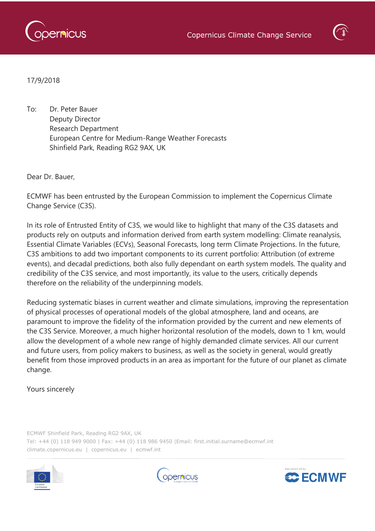

17/9/2018

To: Dr. Peter Bauer Deputy Director Research Department European Centre for Medium-Range Weather Forecasts Shinfield Park, Reading RG2 9AX, UK

Dear Dr. Bauer,

ECMWF has been entrusted by the European Commission to implement the Copernicus Climate Change Service (C3S).

In its role of Entrusted Entity of C3S, we would like to highlight that many of the C3S datasets and products rely on outputs and information derived from earth system modelling: Climate reanalysis, Essential Climate Variables (ECVs), Seasonal Forecasts, long term Climate Projections. In the future, C3S ambitions to add two important components to its current portfolio: Attribution (of extreme events), and decadal predictions, both also fully dependant on earth system models. The quality and credibility of the C3S service, and most importantly, its value to the users, critically depends therefore on the reliability of the underpinning models.

Reducing systematic biases in current weather and climate simulations, improving the representation of physical processes of operational models of the global atmosphere, land and oceans, are paramount to improve the fidelity of the information provided by the current and new elements of the C3S Service. Moreover, a much higher horizontal resolution of the models, down to 1 km, would allow the development of a whole new range of highly demanded climate services. All our current and future users, from policy makers to business, as well as the society in general, would greatly benefit from those improved products in an area as important for the future of our planet as climate change.

## Yours sincerely

ECMWF Shinfield Park, Reading RG2 9AX, UK Tel: +44 (0) 118 949 9000 | Fax: +44 (0) 118 986 9450 |Email: first.initial.surname@ecmwf.int climate.copernicus.eu | copernicus.eu | ecmwf.int